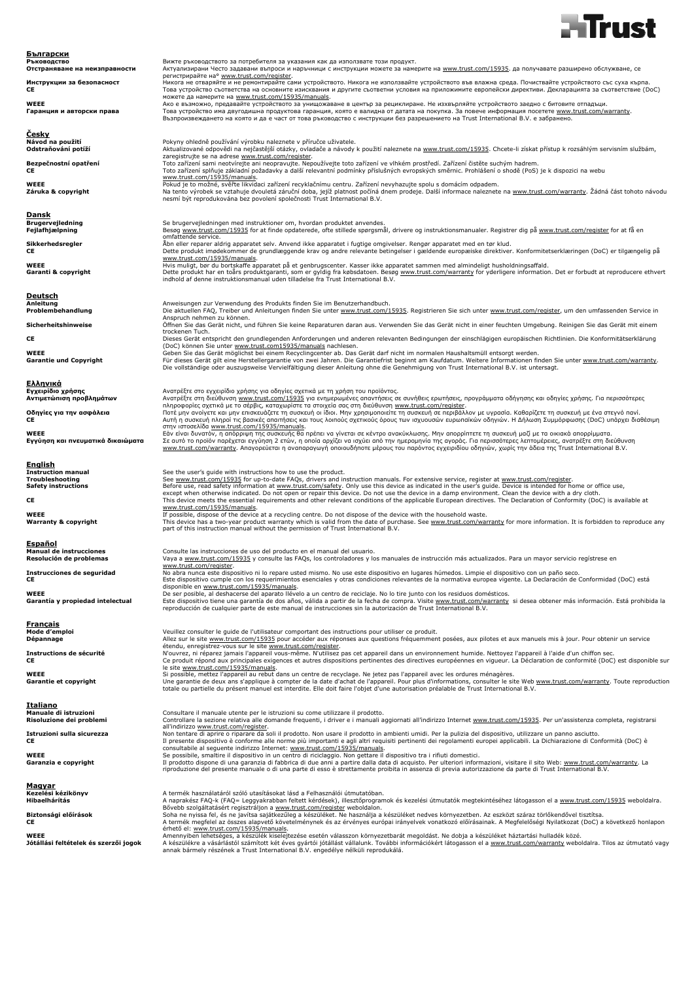

| <u>Български</u><br>Ръководство                               | Вижте ръководството за потребителя за указания как да използвате този продукт.                                                                                                                                                                                                                                                                                        |
|---------------------------------------------------------------|-----------------------------------------------------------------------------------------------------------------------------------------------------------------------------------------------------------------------------------------------------------------------------------------------------------------------------------------------------------------------|
| Отстраняване на неизправности                                 | Актуализирани Често задавани въпроси и наръчници с инструкции можете за намерите на www.trust.com/15935. да получавате разширено обслужване, се                                                                                                                                                                                                                       |
| Инструкции за безопасност<br>СE                               | регистрирайте на° www.trust.com/register.<br>Никога не отваряйте и не ремонтирайте сами устройството. Никога не използвайте устройството във влажна среда. Почиствайте устройството със суха кърпа.<br>Това устройство съответства на основните изисквания и другите съответни условия на приложимите европейски директиви. Декларацията за съответствие (DoC)        |
| <b>WEEE</b>                                                   | можете да намерите на www.trust.com/15935/manuals.<br>Ако е възможно, предавайте устройството за унищожаване в център за рециклиране. Не изхвърляйте устройството заедно с битовите отпадъци.                                                                                                                                                                         |
| Гаранция и авторски права                                     | Това устройство има двугодишна продуктова гаранция, която е валидна от датата на покупка. За повече информация посетете www.trust.com/warranty.<br>Възпроизвеждането на която и да е част от това ръководство с инструкции без разрешението на Trust International B.V. е забранено.                                                                                  |
| Cesky                                                         |                                                                                                                                                                                                                                                                                                                                                                       |
| Návod na použití<br>Odstraňování potíží                       | Pokyny ohledně používání výrobku naleznete v příručce uživatele.<br>Aktualizované odpovědi na nejčastější otázky, ovladače a návody k použití naleznete na www.trust.com/15935. Chcete-li získat přístup k rozsáhlým servisním službám,                                                                                                                               |
| Bezpečnostní opatření                                         | zaregistrujte se na adrese www.trust.com/register.<br>Toto zařízení sami neotvírejte ani neopravujte. Nepoužívejte toto zařízení ve vlhkém prostředí. Zařízení čistěte suchým hadrem.                                                                                                                                                                                 |
| CE                                                            | Toto zařízení splňuje základní požadavky a další relevantní podmínky příslušných evropských směrnic. Prohlášení o shodě (PoS) je k dispozici na webu<br>www.trust.com/15935/manuals.                                                                                                                                                                                  |
| WEEE<br>Záruka & copyright                                    | Pokud je to možné, svěřte likvidaci zařízení recyklačnímu centru. Zařízení nevyhazujte spolu s domácím odpadem.<br>Na tento výrobek se vztahuje dvouletá záruční doba, jejíž platnost počíná dnem prodeje. Další informace naleznete na www.trust.com/warranty. Žádná část tohoto návodu<br>nesmí být reprodukována bez povolení společnosti Trust International B.V. |
|                                                               |                                                                                                                                                                                                                                                                                                                                                                       |
| Dansk<br><b>Brugervejledning</b>                              | Se brugervejledningen med instruktioner om, hvordan produktet anvendes.                                                                                                                                                                                                                                                                                               |
| Fejlafhjælpning                                               | Besøg www.trust.com/15935 for at finde opdaterede, ofte stillede spørgsmål, drivere og instruktionsmanualer. Registrer dig på www.trust.com/register for at få en                                                                                                                                                                                                     |
| Sikkerhedsregler                                              | omfattende service.<br>Åbn eller reparer aldrig apparatet selv. Anvend ikke apparatet i fugtige omgivelser. Rengør apparatet med en tør klud.                                                                                                                                                                                                                         |
| СE                                                            | Dette produkt imødekommer de grundlæggende krav og andre relevante betingelser i gældende europæiske direktiver. Konformitetserklæringen (DoC) er tilgængelig på<br>www.trust.com/15935/manuals.                                                                                                                                                                      |
| WEEE<br>Garanti & copyright                                   | Hvis muligt, bør du bortskaffe apparatet på et genbrugscenter. Kasser ikke apparatet sammen med almindeligt husholdningsaffald.<br>Dette produkt har en toårs produktgaranti, som er gyldig fra købsdatoen. Besøg www.trust.com/warranty for yderligere information. Det er forbudt at reproducere ethvert                                                            |
|                                                               | indhold af denne instruktionsmanual uden tilladelse fra Trust International B.V.                                                                                                                                                                                                                                                                                      |
| <b>Deutsch</b>                                                |                                                                                                                                                                                                                                                                                                                                                                       |
| Anleitung<br>Problembehandlung                                | Anweisungen zur Verwendung des Produkts finden Sie im Benutzerhandbuch.<br>Die aktuellen FAQ, Treiber und Anleitungen finden Sie unter www.trust.com/15935. Registrieren Sie sich unter www.trust.com/register, um den umfassenden Service in                                                                                                                         |
|                                                               | Anspruch nehmen zu können.                                                                                                                                                                                                                                                                                                                                            |
| Sicherheitshinweise                                           | Öffnen Sie das Gerät nicht, und führen Sie keine Reparaturen daran aus. Verwenden Sie das Gerät nicht in einer feuchten Umgebung. Reinigen Sie das Gerät mit einem<br>trockenen Tuch.                                                                                                                                                                                 |
| СE                                                            | Dieses Gerät entspricht den grundlegenden Anforderungen und anderen relevanten Bedingungen der einschlägigen europäischen Richtlinien. Die Konformitätserklärung                                                                                                                                                                                                      |
| WEEE                                                          | (DoC) können Sie unter www.trust.com15935/manuals nachlesen.<br>Geben Sie das Gerät möglichst bei einem Recyclingcenter ab. Das Gerät darf nicht im normalen Haushaltsmüll entsorgt werden.                                                                                                                                                                           |
| <b>Garantie und Copyright</b>                                 | Für dieses Gerät gilt eine Herstellergarantie von zwei Jahren. Die Garantiefrist beginnt am Kaufdatum. Weitere Informationen finden Sie unter www.trust.com/warranty.<br>Die vollständige oder auszugsweise Vervielfältigung dieser Anleitung ohne die Genehmigung von Trust International B.V. ist untersagt.                                                        |
| Ελληνικά                                                      |                                                                                                                                                                                                                                                                                                                                                                       |
| Εγχειρίδιο χρήσης                                             | Ανατρέξτε στο εγχειρίδιο χρήσης για οδηγίες σχετικά με τη χρήση του προϊόντος.                                                                                                                                                                                                                                                                                        |
| Αντιμετώπιση προβλημάτων                                      | Ανατρέξτε στη διεύθυνση www.trust.com/15935 για ενημερωμένες απαντήσεις σε συνήθεις ερωτήσεις, προγράμματα οδήγησης και οδηγίες χρήσης. Για περισσότερες<br>πληροφορίες σχετικά με το σέρβις, καταχωρίστε τα στοιχεία σας στη διεύθυνση www.trust.com/register.                                                                                                       |
| Οδηγίες για την ασφάλεια<br>СE                                | Ποτέ μην ανοίγετε και μην επισκευάζετε τη συσκευή οι ίδιοι. Μην χρησιμοποιείτε τη συσκευή σε περιβάλλον με υγρασία. Καθαρίζετε τη συσκευή με ένα στεγνό πανί.<br>Αυτή η συσκευή πληροί τις βασικές απαιτήσεις και τους λοιπούς σχετικούς όρους των ισχυουσών ευρωπαϊκών οδηγιών. Η Δήλωση Συμμόρφωσης (DoC) υπάρχει διαθέσιμη                                         |
| <b>WEEE</b>                                                   | στην ιστοσελίδα www.trust.com/15935/manuals.<br>Εάν είναι δυνατόν, η απόρριψη της συσκευής θα πρέπει να γίνεται σε κέντρο ανακύκλωσης. Μην απορρίπτετε τη συσκευή μαζί με τα οικιακά απορρίμματα.                                                                                                                                                                     |
| Εγγύηση και πνευματικά δικαιώματα                             | Σε αυτό το προϊόν παρέχεται εγγύηση 2 ετών, η οποία αρχίζει να ισχύει από την ημερομηνία της αγοράς. Για περισσότερες λεπτομέρειες, ανατρέξτε στη διεύθυνση<br>www.trust.com/warranty. Απαγορεύεται η αναπαραγωγή οποιουδήποτε μέρους του παρόντος εγχειριδίου οδηγιών, χωρίς την άδεια της Trust International B.V.                                                  |
| <u>English</u>                                                |                                                                                                                                                                                                                                                                                                                                                                       |
| <b>Instruction manual</b>                                     | See the user's quide with instructions how to use the product.                                                                                                                                                                                                                                                                                                        |
| <b>Troubleshooting</b><br><b>Safety instructions</b>          | See www.trust.com/15935 for up-to-date FAQs, drivers and instruction manuals. For extensive service, register at www.trust.com/register.<br>Before use, read safety information at www.trust.com/safety. Only use this device as indicated in the user's guide. Device is intended for home or office use,                                                            |
|                                                               | except when otherwise indicated. Do not open or repair this device. Do not use the device in a damp environment. Clean the device with a dry cloth.                                                                                                                                                                                                                   |
| CE                                                            | This device meets the essential requirements and other relevant conditions of the applicable European directives. The Declaration of Conformity (DoC) is available at<br>www.trust.com/15935/manuals.                                                                                                                                                                 |
| <b>WEEE</b>                                                   | If possible, dispose of the device at a recycling centre. Do not dispose of the device with the household waste.                                                                                                                                                                                                                                                      |
| <b>Warranty &amp; copyright</b>                               | This device has a two-year product warranty which is valid from the date of purchase. See www.trust.com/warranty for more information. It is forbidden to reproduce any<br>part of this instruction manual without the permission of Trust International B.V.                                                                                                         |
| Español                                                       |                                                                                                                                                                                                                                                                                                                                                                       |
| <b>Manual de instrucciones</b>                                | Consulte las instrucciones de uso del producto en el manual del usuario.                                                                                                                                                                                                                                                                                              |
| Resolución de problemas                                       | Vaya a www.trust.com/15935 y consulte las FAQs, los controladores y los manuales de instrucción más actualizados. Para un mayor servicio regístrese en                                                                                                                                                                                                                |
| Instrucciones de seguridad                                    | www.trust.com/register.<br>No abra nunca este dispositivo ni lo repare usted mismo. No use este dispositivo en lugares húmedos. Limpie el dispositivo con un paño seco.                                                                                                                                                                                               |
| CE                                                            | Este dispositivo cumple con los requerimientos esenciales y otras condiciones relevantes de la normativa europea vigente. La Declaración de Conformidad (DoC) está<br>disponible en www.trust.com/15935/manuals.                                                                                                                                                      |
| WEEE                                                          | De ser posible, al deshacerse del aparato llévelo a un centro de reciclaje. No lo tire junto con los residuos domésticos.                                                                                                                                                                                                                                             |
| Garantía y propiedad intelectual                              | Este dispositivo tiene una garantía de dos años, válida a partir de la fecha de compra. Visite www.trust.com/warranty si desea obtener más información. Está prohibida la<br>reproducción de cualquier parte de este manual de instrucciones sin la autorización de Trust International B.V.                                                                          |
| <u>Français</u>                                               |                                                                                                                                                                                                                                                                                                                                                                       |
| Mode d'emploi                                                 | Veuillez consulter le guide de l'utilisateur comportant des instructions pour utiliser ce produit.                                                                                                                                                                                                                                                                    |
| Dépannage                                                     | Allez sur le site www.trust.com/15935 pour accéder aux réponses aux questions fréquemment posées, aux pilotes et aux manuels mis à jour. Pour obtenir un service<br>étendu, enregistrez-vous sur le site www.trust.com/register.                                                                                                                                      |
| Instructions de sécurité<br>СE                                | N'ouvrez, ni réparez jamais l'appareil vous-même. N'utilisez pas cet appareil dans un environnement humide. Nettoyez l'appareil à l'aide d'un chiffon sec.<br>Ce produit répond aux principales exigences et autres dispositions pertinentes des directives européennes en vigueur. La Déclaration de conformité (DoC) est disponible sur                             |
| WEEE                                                          | le site www.trust.com/15935/manuals.<br>Si possible, mettez l'appareil au rebut dans un centre de recyclage. Ne jetez pas l'appareil avec les ordures ménagères.                                                                                                                                                                                                      |
| Garantie et copyright                                         | Une garantie de deux ans s'applique à compter de la date d'achat de l'appareil. Pour plus d'informations, consulter le site Web www.trust.com/warranty. Toute reproduction<br>totale ou partielle du présent manuel est interdite. Elle doit faire l'objet d'une autorisation préalable de Trust International B.V.                                                   |
|                                                               |                                                                                                                                                                                                                                                                                                                                                                       |
| Italiano<br>Manuale di istruzioni<br>Risoluzione dei problemi | Consultare il manuale utente per le istruzioni su come utilizzare il prodotto.<br>Controllare la sezione relativa alle domande frequenti, i driver e i manuali aggiornati all'indirizzo Internet www.trust.com/15935. Per un'assistenza completa, registrarsi                                                                                                         |
|                                                               | all'indirizzo www.trust.com/register.                                                                                                                                                                                                                                                                                                                                 |
| Istruzioni sulla sicurezza<br>СE                              | Non tentare di aprire o riparare da soli il prodotto. Non usare il prodotto in ambienti umidi. Per la pulizia del dispositivo, utilizzare un panno asciutto.<br>Il presente dispositivo è conforme alle norme più importanti e agli altri requisiti pertinenti dei regolamenti europei applicabili. La Dichiarazione di Conformità (DoC) è                            |
| WEEE                                                          | consultabile al seguente indirizzo Internet: www.trust.com/15935/manuals.<br>Se possibile, smaltire il dispositivo in un centro di riciclaggio. Non gettare il dispositivo tra i rifiuti domestici.                                                                                                                                                                   |
| Garanzia e copyright                                          | Il prodotto dispone di una garanzia di fabbrica di due anni a partire dalla data di acquisto. Per ulteriori informazioni, visitare il sito Web: www.trust.com/warranty. La<br>riproduzione del presente manuale o di una parte di esso è strettamente proibita in assenza di previa autorizzazione da parte di Trust International B.V.                               |
|                                                               |                                                                                                                                                                                                                                                                                                                                                                       |
| <u>Magyar</u><br>Kezelési kézikönyv                           | A termék használatáról szóló utasításokat lásd a Felhasználói útmutatóban.                                                                                                                                                                                                                                                                                            |
| Hibaelhárítás                                                 | A naprakész FAQ-k (FAQ= Leggyakrabban feltett kérdések), illesztőprogramok és kezelési útmutatók megtekintéséhez látogasson el a www.trust.com/15935 weboldalra.                                                                                                                                                                                                      |
| Biztonsági előírások                                          | Bővebb szolgáltatásért regisztráljon a www.trust.com/register weboldalon.<br>Soha ne nyissa fel, és ne javítsa sajátkezűleg a készüléket. Ne használja a készüléket nedves környezetben. Az eszközt száraz törlőkendővel tisztítsa.                                                                                                                                   |
| СE                                                            | A termék megfelel az összes alapvető követelménynek és az érvényes európai irányelvek vonatkozó előírásainak. A Megfelelőségi Nyilatkozat (DoC) a következő honlapon<br>érhető el: www.trust.com/15935/manuals.                                                                                                                                                       |
| <b>WEEE</b>                                                   | Amennyiben lehetséges, a készülék kiselejtezése esetén válasszon környezetbarát megoldást. Ne dobja a készüléket háztartási hulladék közé.<br>GHÁL GHÁILÍCH UÁLLOILLE TOUÁbhi inform                                                                                                                                                                                  |

WEEE – Amennyiben lehetséges, a készülék kiselejtezése esetén válasszon környezetbarát megoldást. Ne dobja a készüléket háztartási hulladék közé.<br>J**ótállási feltételek és szerzői jogok** – A készülékme a vásárlástvál számít